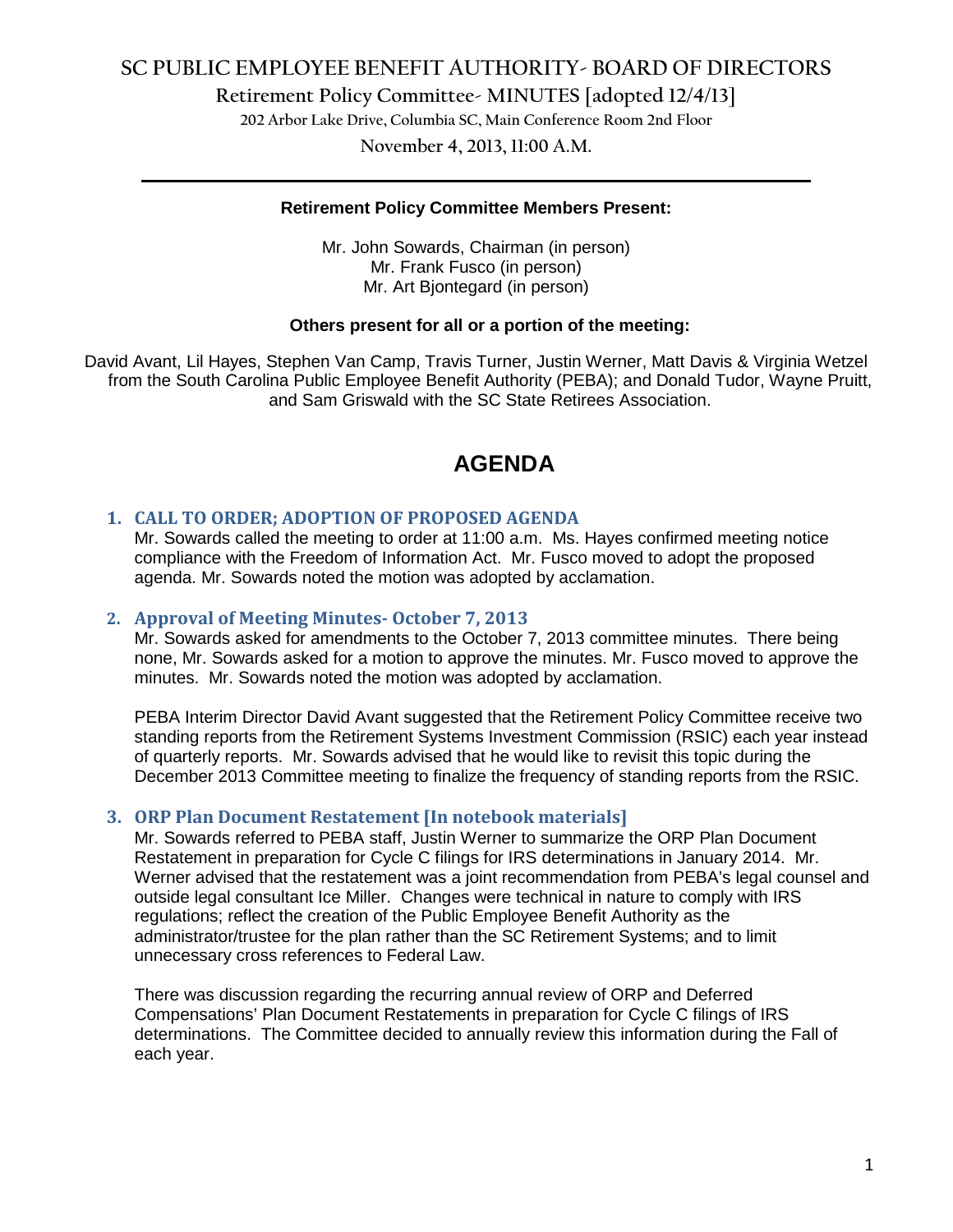# **SC PUBLIC EMPLOYEE BENEFIT AUTHORITY- BOARD OF DIRECTORS**

**Retirement Policy Committee- MINUTES [adopted 12/4/13]**

**202 Arbor Lake Drive, Columbia SC, Main Conference Room 2nd Floor**

**November 4, 2013, 11:00 A.M. \_\_\_\_\_\_\_\_\_\_\_\_\_\_\_\_\_\_\_\_\_\_\_\_\_\_\_\_\_\_\_\_\_\_\_\_\_\_\_\_\_\_\_\_\_\_\_\_\_\_\_\_\_\_\_\_\_\_\_\_\_\_\_\_\_\_\_\_\_\_\_\_**

### **Retirement Policy Committee Members Present:**

Mr. John Sowards, Chairman (in person) Mr. Frank Fusco (in person) Mr. Art Bjontegard (in person)

### **Others present for all or a portion of the meeting:**

David Avant, Lil Hayes, Stephen Van Camp, Travis Turner, Justin Werner, Matt Davis & Virginia Wetzel from the South Carolina Public Employee Benefit Authority (PEBA); and Donald Tudor, Wayne Pruitt, and Sam Griswald with the SC State Retirees Association.

# **AGENDA**

# **1. CALL TO ORDER; ADOPTION OF PROPOSED AGENDA**

Mr. Sowards called the meeting to order at 11:00 a.m. Ms. Hayes confirmed meeting notice compliance with the Freedom of Information Act. Mr. Fusco moved to adopt the proposed agenda. Mr. Sowards noted the motion was adopted by acclamation.

### **2. Approval of Meeting Minutes- October 7, 2013**

Mr. Sowards asked for amendments to the October 7, 2013 committee minutes. There being none, Mr. Sowards asked for a motion to approve the minutes. Mr. Fusco moved to approve the minutes. Mr. Sowards noted the motion was adopted by acclamation.

PEBA Interim Director David Avant suggested that the Retirement Policy Committee receive two standing reports from the Retirement Systems Investment Commission (RSIC) each year instead of quarterly reports. Mr. Sowards advised that he would like to revisit this topic during the December 2013 Committee meeting to finalize the frequency of standing reports from the RSIC.

#### **3. ORP Plan Document Restatement [In notebook materials]**

Mr. Sowards referred to PEBA staff, Justin Werner to summarize the ORP Plan Document Restatement in preparation for Cycle C filings for IRS determinations in January 2014. Mr. Werner advised that the restatement was a joint recommendation from PEBA's legal counsel and outside legal consultant Ice Miller. Changes were technical in nature to comply with IRS regulations; reflect the creation of the Public Employee Benefit Authority as the administrator/trustee for the plan rather than the SC Retirement Systems; and to limit unnecessary cross references to Federal Law.

There was discussion regarding the recurring annual review of ORP and Deferred Compensations' Plan Document Restatements in preparation for Cycle C filings of IRS determinations. The Committee decided to annually review this information during the Fall of each year.